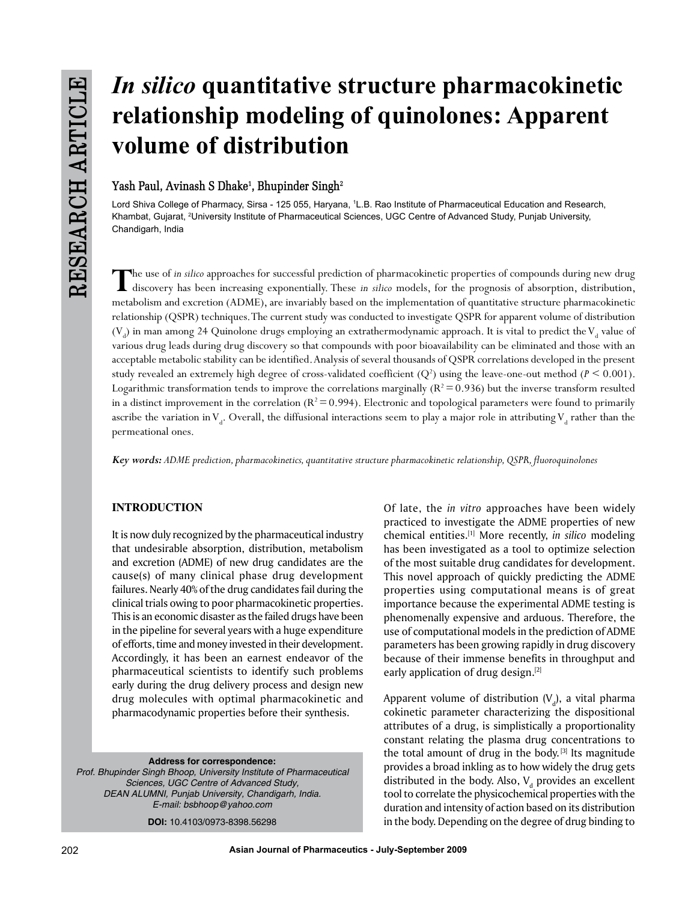# *In silico* **quantitative structure pharmacokinetic relationship modeling of quinolones: Apparent volume of distribution**

# **Yash Paul, Avinash S Dhake1 , Bhupinder Singh2**

Lord Shiva College of Pharmacy, Sirsa - 125 055, Haryana, 1L.B. Rao Institute of Pharmaceutical Education and Research, Khambat, Gujarat, 2 University Institute of Pharmaceutical Sciences, UGC Centre of Advanced Study, Punjab University, Chandigarh, India

The use of *in silico* approaches for successful prediction of pharmacokinetic properties of compounds during new drug<br>discovery has been increasing exponentially. These *in silico* models, for the prognosis of absorption, metabolism and excretion (ADME), are invariably based on the implementation of quantitative structure pharmacokinetic relationship (QSPR) techniques. The current study was conducted to investigate QSPR for apparent volume of distribution  $(V_{_d})$  in man among 24 Quinolone drugs employing an extrathermodynamic approach. It is vital to predict the  $V_{_d}$  value of various drug leads during drug discovery so that compounds with poor bioavailability can be eliminated and those with an acceptable metabolic stability can be identified. Analysis of several thousands of QSPR correlations developed in the present study revealed an extremely high degree of cross-validated coefficient  $(Q^2)$  using the leave-one-out method  $(P \le 0.001)$ . Logarithmic transformation tends to improve the correlations marginally ( $R^2$  = 0.936) but the inverse transform resulted in a distinct improvement in the correlation  $(R^2 = 0.994)$ . Electronic and topological parameters were found to primarily ascribe the variation in  $V_d$ . Overall, the diffusional interactions seem to play a major role in attributing  $V_d$  rather than the permeational ones.

*Key words: ADME prediction, pharmacokinetics, quantitative structure pharmacokinetic relationship, QSPR, fluoroquinolones*

# **INTRODUCTION**

It is now duly recognized by the pharmaceutical industry that undesirable absorption, distribution, metabolism and excretion (ADME) of new drug candidates are the cause(s) of many clinical phase drug development failures. Nearly 40% of the drug candidates fail during the clinical trials owing to poor pharmacokinetic properties. This is an economic disaster as the failed drugs have been in the pipeline for several years with a huge expenditure of efforts, time and money invested in their development. Accordingly, it has been an earnest endeavor of the pharmaceutical scientists to identify such problems early during the drug delivery process and design new drug molecules with optimal pharmacokinetic and pharmacodynamic properties before their synthesis.

**Address for correspondence:** *Prof. Bhupinder Singh Bhoop, University Institute of Pharmaceutical Sciences, UGC Centre of Advanced Study, DEAN ALUMNI, Punjab University, Chandigarh, India. E-mail: bsbhoop@yahoo.com* **DOI:** 10.4103/0973-8398.56298

Of late, the *in vitro* approaches have been widely practiced to investigate the ADME properties of new chemical entities.[1] More recently, *in silico* modeling has been investigated as a tool to optimize selection of the most suitable drug candidates for development. This novel approach of quickly predicting the ADME properties using computational means is of great importance because the experimental ADME testing is phenomenally expensive and arduous. Therefore, the use of computational models in the prediction of ADME parameters has been growing rapidly in drug discovery because of their immense benefits in throughput and early application of drug design.[2]

Apparent volume of distribution (V $_{\rm d}$ ), a vital pharma cokinetic parameter characterizing the dispositional attributes of a drug, is simplistically a proportionality constant relating the plasma drug concentrations to the total amount of drug in the body.  $[3]$  Its magnitude provides a broad inkling as to how widely the drug gets distributed in the body. Also,  $\mathsf{V}_{_{\sf d}}$  provides an excellent tool to correlate the physicochemical properties with the duration and intensity of action based on its distribution in the body. Depending on the degree of drug binding to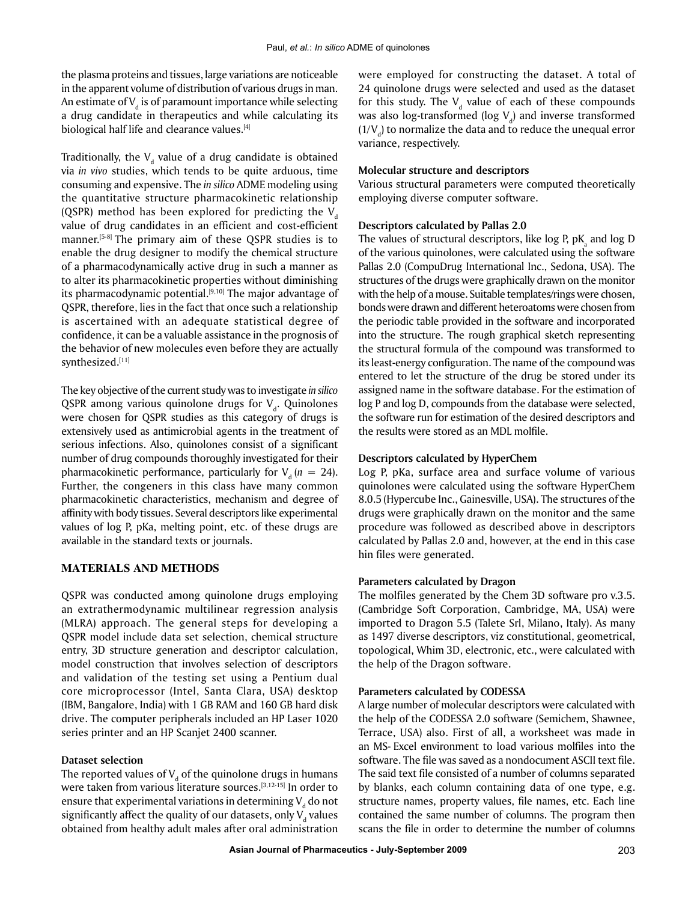the plasma proteins and tissues, large variations are noticeable in the apparent volume of distribution of various drugs in man. An estimate of  $\mathsf{V}_{\mathsf{d}}$  is of paramount importance while selecting a drug candidate in therapeutics and while calculating its biological half life and clearance values.<sup>[4]</sup>

Traditionally, the  $V_d$  value of a drug candidate is obtained via *in vivo* studies, which tends to be quite arduous, time consuming and expensive. The *in silico* ADME modeling using the quantitative structure pharmacokinetic relationship (QSPR) method has been explored for predicting the  $V<sub>a</sub>$ value of drug candidates in an efficient and cost-efficient manner.<sup>[5-8]</sup> The primary aim of these QSPR studies is to enable the drug designer to modify the chemical structure of a pharmacodynamically active drug in such a manner as to alter its pharmacokinetic properties without diminishing its pharmacodynamic potential.<sup>[9,10]</sup> The major advantage of QSPR, therefore, lies in the fact that once such a relationship is ascertained with an adequate statistical degree of confidence, it can be a valuable assistance in the prognosis of the behavior of new molecules even before they are actually synthesized.[11]

The key objective of the current study was to investigate *in silico*  QSPR among various quinolone drugs for  $V_d$ . Quinolones were chosen for QSPR studies as this category of drugs is extensively used as antimicrobial agents in the treatment of serious infections. Also, quinolones consist of a significant number of drug compounds thoroughly investigated for their pharmacokinetic performance, particularly for  $V_a$  ( $n = 24$ ). Further, the congeners in this class have many common pharmacokinetic characteristics, mechanism and degree of affinity with body tissues. Several descriptors like experimental values of log P, pKa, melting point, etc. of these drugs are available in the standard texts or journals.

#### **Materials and Methods**

QSPR was conducted among quinolone drugs employing an extrathermodynamic multilinear regression analysis (MLRA) approach. The general steps for developing a QSPR model include data set selection, chemical structure entry, 3D structure generation and descriptor calculation, model construction that involves selection of descriptors and validation of the testing set using a Pentium dual core microprocessor (Intel, Santa Clara, USA) desktop (IBM, Bangalore, India) with 1 GB RAM and 160 GB hard disk drive. The computer peripherals included an HP Laser 1020 series printer and an HP Scanjet 2400 scanner.

#### **Dataset selection**

The reported values of  $V_{\rm d}$  of the quinolone drugs in humans were taken from various literature sources.<sup>[3,12-15]</sup> In order to ensure that experimental variations in determining  $\mathsf{V}_{_{\sf d}}$  do not significantly affect the quality of our datasets, only  $\mathsf{V}_{_{\sf d}}$  values obtained from healthy adult males after oral administration

were employed for constructing the dataset. A total of 24 quinolone drugs were selected and used as the dataset for this study. The  $V_d$  value of each of these compounds was also log-transformed (log  $\rm V_d$ ) and inverse transformed  $(1/V_d)$  to normalize the data and to reduce the unequal error variance, respectively.

#### **Molecular structure and descriptors**

Various structural parameters were computed theoretically employing diverse computer software.

#### **Descriptors calculated by Pallas 2.0**

The values of structural descriptors, like log P,  $\mathsf{pK}_\mathsf{a}$  and log D of the various quinolones, were calculated using the software Pallas 2.0 (CompuDrug International Inc., Sedona, USA). The structures of the drugs were graphically drawn on the monitor with the help of a mouse. Suitable templates/rings were chosen, bonds were drawn and different heteroatoms were chosen from the periodic table provided in the software and incorporated into the structure. The rough graphical sketch representing the structural formula of the compound was transformed to its least-energy configuration. The name of the compound was entered to let the structure of the drug be stored under its assigned name in the software database. For the estimation of log P and log D, compounds from the database were selected, the software run for estimation of the desired descriptors and the results were stored as an MDL molfile.

#### **Descriptors calculated by HyperChem**

Log P, pKa, surface area and surface volume of various quinolones were calculated using the software HyperChem 8.0.5 (Hypercube Inc., Gainesville, USA). The structures of the drugs were graphically drawn on the monitor and the same procedure was followed as described above in descriptors calculated by Pallas 2.0 and, however, at the end in this case hin files were generated.

#### **Parameters calculated by Dragon**

The molfiles generated by the Chem 3D software pro v.3.5. (Cambridge Soft Corporation, Cambridge, MA, USA) were imported to Dragon 5.5 (Talete Srl, Milano, Italy). As many as 1497 diverse descriptors, viz constitutional, geometrical, topological, Whim 3D, electronic, etc., were calculated with the help of the Dragon software.

#### **Parameters calculated by CODESSA**

A large number of molecular descriptors were calculated with the help of the CODESSA 2.0 software (Semichem, Shawnee, Terrace, USA) also. First of all, a worksheet was made in an MS- Excel environment to load various molfiles into the software. The file was saved as a nondocument ASCII text file. The said text file consisted of a number of columns separated by blanks, each column containing data of one type, e.g. structure names, property values, file names, etc. Each line contained the same number of columns. The program then scans the file in order to determine the number of columns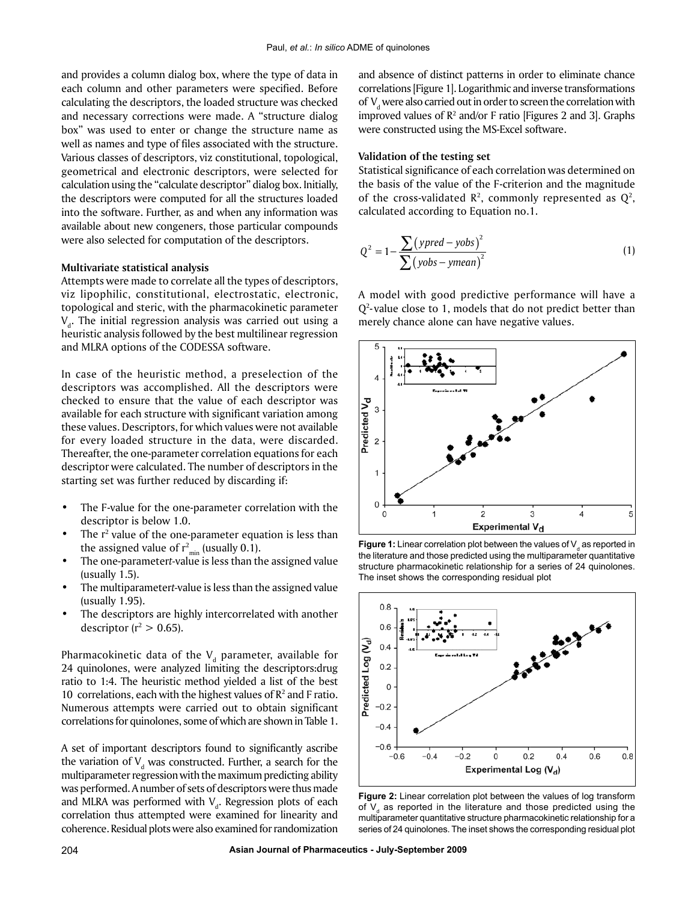and provides a column dialog box, where the type of data in each column and other parameters were specified. Before calculating the descriptors, the loaded structure was checked and necessary corrections were made. A "structure dialog box" was used to enter or change the structure name as well as names and type of files associated with the structure. Various classes of descriptors, viz constitutional, topological, geometrical and electronic descriptors, were selected for calculation using the "calculate descriptor" dialog box. Initially, the descriptors were computed for all the structures loaded into the software. Further, as and when any information was available about new congeners, those particular compounds were also selected for computation of the descriptors.

#### **Multivariate statistical analysis**

Attempts were made to correlate all the types of descriptors, viz lipophilic, constitutional, electrostatic, electronic, topological and steric, with the pharmacokinetic parameter  $\rm V_d$ . The initial regression analysis was carried out using a heuristic analysis followed by the best multilinear regression and MLRA options of the CODESSA software.

In case of the heuristic method, a preselection of the descriptors was accomplished. All the descriptors were checked to ensure that the value of each descriptor was available for each structure with significant variation among these values. Descriptors, for which values were not available for every loaded structure in the data, were discarded. Thereafter, the one-parameter correlation equations for each descriptor were calculated. The number of descriptors in the starting set was further reduced by discarding if:

- The F-value for the one-parameter correlation with the descriptor is below 1.0.
- The  $r^2$  value of the one-parameter equation is less than the assigned value of  $r_{\min}^2$  (usually 0.1).
- The one-parameter*t-*value is less than the assigned value (usually 1.5).
- The multiparameter*t-*value is less than the assigned value (usually 1.95).
- The descriptors are highly intercorrelated with another descriptor ( $r^2 > 0.65$ ).

Pharmacokinetic data of the  $\rm V_d$  parameter, available for 24 quinolones, were analyzed limiting the descriptors:drug ratio to 1:4. The heuristic method yielded a list of the best 10 correlations, each with the highest values of  $\mathbb{R}^2$  and F ratio. Numerous attempts were carried out to obtain significant correlations for quinolones, some of which are shown in Table 1.

A set of important descriptors found to significantly ascribe the variation of  $V_d$  was constructed. Further, a search for the multiparameter regression with the maximum predicting ability was performed. A number of sets of descriptors were thus made and MLRA was performed with  $V_d$ . Regression plots of each correlation thus attempted were examined for linearity and coherence. Residual plots were also examined for randomization

and absence of distinct patterns in order to eliminate chance correlations [Figure 1]. Logarithmic and inverse transformations of  $\rm V_d$  were also carried out in order to screen the correlation with improved values of  $\mathbb{R}^2$  and/or F ratio [Figures 2 and 3]. Graphs were constructed using the MS-Excel software.

#### **Validation of the testing set**

Statistical significance of each correlation was determined on the basis of the value of the F-criterion and the magnitude of the cross-validated  $\mathbb{R}^2$ , commonly represented as  $\mathbb{Q}^2$ , calculated according to Equation no.1.

$$
Q^{2} = 1 - \frac{\sum (ypred - yobs)^{2}}{\sum (yobs - ymean)^{2}}
$$
 (1)

A model with good predictive performance will have a Q2 - value close to 1, models that do not predict better than merely chance alone can have negative values.



**Figure 1:** Linear correlation plot between the values of V<sub>a</sub> as reported in the literature and those predicted using the multiparameter quantitative structure pharmacokinetic relationship for a series of 24 quinolones. The inset shows the corresponding residual plot



**Figure 2:** Linear correlation plot between the values of log transform of  $V<sub>a</sub>$  as reported in the literature and those predicted using the multiparameter quantitative structure pharmacokinetic relationship for a series of 24 quinolones. The inset shows the corresponding residual plot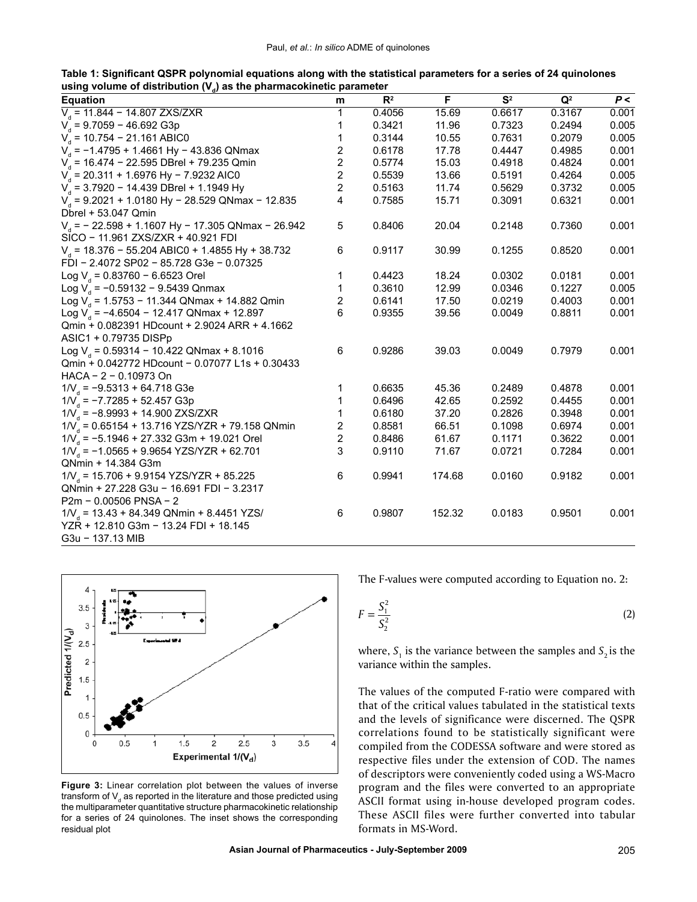**Table 1: Significant QSPR polynomial equations along with the statistical parameters for a series of 24 quinolones**  using volume of distribution (V<sub>a</sub>) as the pharmacokinetic parameter

| <b>Equation</b>                                                           | m | $R^2$  | F      | S <sup>2</sup> | $\mathbf{Q}^2$ | P<    |
|---------------------------------------------------------------------------|---|--------|--------|----------------|----------------|-------|
| $V_a$ = 11.844 - 14.807 ZXS/ZXR                                           | 1 | 0.4056 | 15.69  | 0.6617         | 0.3167         | 0.001 |
| $V_a$ = 9.7059 - 46.692 G3p                                               | 1 | 0.3421 | 11.96  | 0.7323         | 0.2494         | 0.005 |
| $V_a$ = 10.754 - 21.161 ABIC0                                             | 1 | 0.3144 | 10.55  | 0.7631         | 0.2079         | 0.005 |
| $V_a$ = -1.4795 + 1.4661 Hy - 43.836 QNmax                                | 2 | 0.6178 | 17.78  | 0.4447         | 0.4985         | 0.001 |
| $V_a$ = 16.474 - 22.595 DBrel + 79.235 Qmin                               | 2 | 0.5774 | 15.03  | 0.4918         | 0.4824         | 0.001 |
| $V_a$ = 20.311 + 1.6976 Hy - 7.9232 AIC0                                  | 2 | 0.5539 | 13.66  | 0.5191         | 0.4264         | 0.005 |
| $V_a$ = 3.7920 - 14.439 DBrel + 1.1949 Hy                                 | 2 | 0.5163 | 11.74  | 0.5629         | 0.3732         | 0.005 |
| $V_a$ = 9.2021 + 1.0180 Hy - 28.529 QNmax - 12.835<br>Dbrel + 53.047 Qmin | 4 | 0.7585 | 15.71  | 0.3091         | 0.6321         | 0.001 |
| $Vd$ = - 22.598 + 1.1607 Hy - 17.305 QNmax - 26.942                       | 5 | 0.8406 | 20.04  | 0.2148         | 0.7360         | 0.001 |
| SICO - 11.961 ZXS/ZXR + 40.921 FDI                                        |   |        |        |                |                |       |
| $V_a$ = 18.376 - 55.204 ABIC0 + 1.4855 Hy + 38.732                        | 6 | 0.9117 | 30.99  | 0.1255         | 0.8520         | 0.001 |
| FDI - 2.4072 SP02 - 85.728 G3e - 0.07325                                  |   |        |        |                |                |       |
| Log $V_a$ = 0.83760 - 6.6523 Orel                                         | 1 | 0.4423 | 18.24  | 0.0302         | 0.0181         | 0.001 |
| Log $V_a$ = -0.59132 - 9.5439 Qnmax                                       | 1 | 0.3610 | 12.99  | 0.0346         | 0.1227         | 0.005 |
| Log $V_a$ = 1.5753 - 11.344 QNmax + 14.882 Qmin                           | 2 | 0.6141 | 17.50  | 0.0219         | 0.4003         | 0.001 |
| Log $V_a$ = -4.6504 - 12.417 QNmax + 12.897                               | 6 | 0.9355 | 39.56  | 0.0049         | 0.8811         | 0.001 |
| Qmin + 0.082391 HDcount + 2.9024 ARR + 4.1662                             |   |        |        |                |                |       |
| ASIC1 + 0.79735 DISPp                                                     |   |        |        |                |                |       |
| Log $V_a$ = 0.59314 - 10.422 QNmax + 8.1016                               | 6 | 0.9286 | 39.03  | 0.0049         | 0.7979         | 0.001 |
| Qmin + 0.042772 HDcount - 0.07077 L1s + 0.30433                           |   |        |        |                |                |       |
| HACA - 2 - 0.10973 On                                                     |   |        |        |                |                |       |
| $1/V_a = -9.5313 + 64.718$ G3e                                            | 1 | 0.6635 | 45.36  | 0.2489         | 0.4878         | 0.001 |
| $1/\sqrt{2}$ = -7.7285 + 52.457 G3p                                       |   | 0.6496 | 42.65  | 0.2592         | 0.4455         | 0.001 |
| $1/V_a = -8.9993 + 14.900 ZXS/ZXR$                                        |   | 0.6180 | 37.20  | 0.2826         | 0.3948         | 0.001 |
| $1/\frac{V}{I}$ = 0.65154 + 13.716 YZS/YZR + 79.158 QNmin                 | 2 | 0.8581 | 66.51  | 0.1098         | 0.6974         | 0.001 |
| $1/\nu_a$ = -5.1946 + 27.332 G3m + 19.021 Orel                            | 2 | 0.8486 | 61.67  | 0.1171         | 0.3622         | 0.001 |
| $1/V_a = -1.0565 + 9.9654 YZS/YZR + 62.701$                               | 3 | 0.9110 | 71.67  | 0.0721         | 0.7284         | 0.001 |
| QNmin + 14.384 G3m                                                        |   |        |        |                |                |       |
| $1/V_a = 15.706 + 9.9154 YZS/YZR + 85.225$                                | 6 | 0.9941 | 174.68 | 0.0160         | 0.9182         | 0.001 |
| QNmin + 27.228 G3u - 16.691 FDI - 3.2317                                  |   |        |        |                |                |       |
| $P2m - 0.00506 PNSA - 2$                                                  |   |        |        |                |                |       |
| $1/V_a = 13.43 + 84.349$ QNmin + 8.4451 YZS/                              | 6 | 0.9807 | 152.32 | 0.0183         | 0.9501         | 0.001 |
| YZR + 12.810 G3m - 13.24 FDI + 18.145                                     |   |        |        |                |                |       |
| G3u - 137.13 MIB                                                          |   |        |        |                |                |       |



**Figure 3:** Linear correlation plot between the values of inverse transform of  $\mathsf{V}_{_{\sf d}}$  as reported in the literature and those predicted using the multiparameter quantitative structure pharmacokinetic relationship for a series of 24 quinolones. The inset shows the corresponding residual plot

The F-values were computed according to Equation no. 2:

$$
F = \frac{S_1^2}{S_2^2} \tag{2}
$$

where,  $S_1$  is the variance between the samples and  $S_2$  is the variance within the samples.

The values of the computed F-ratio were compared with that of the critical values tabulated in the statistical texts and the levels of significance were discerned. The QSPR correlations found to be statistically significant were compiled from the CODESSA software and were stored as respective files under the extension of COD. The names of descriptors were conveniently coded using a WS-Macro program and the files were converted to an appropriate ASCII format using in-house developed program codes. These ASCII files were further converted into tabular formats in MS-Word.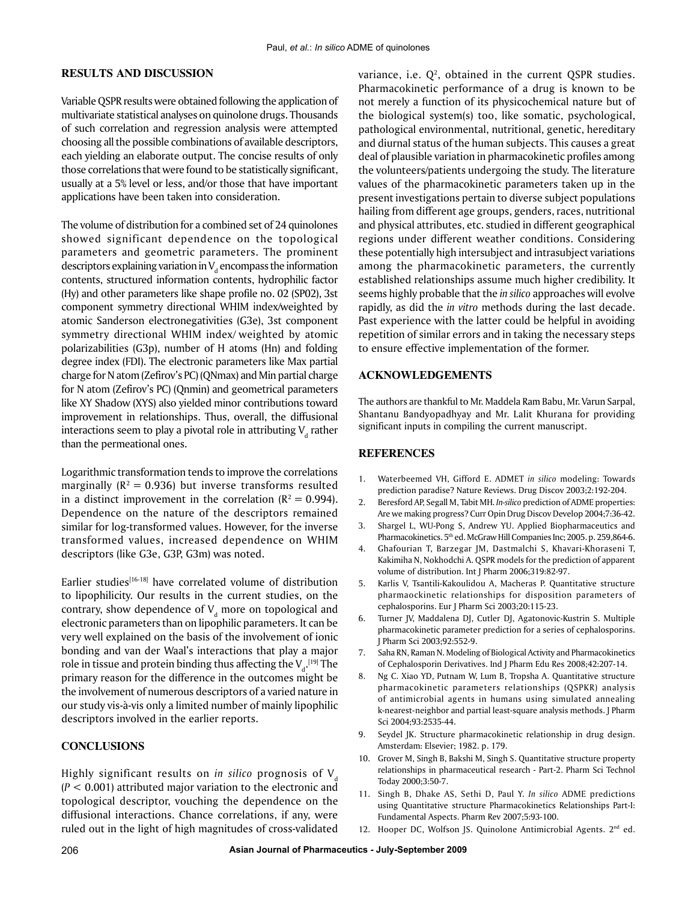### **RESULTS AND DISCUSSION**

Variable QSPR results were obtained following the application of multivariate statistical analyses on quinolone drugs. Thousands of such correlation and regression analysis were attempted choosing all the possible combinations of available descriptors, each yielding an elaborate output. The concise results of only those correlations that were found to be statistically significant, usually at a 5% level or less, and/or those that have important applications have been taken into consideration.

The volume of distribution for a combined set of 24 quinolones showed significant dependence on the topological parameters and geometric parameters. The prominent descriptors explaining variation in  $\mathsf{V}_{\mathsf{d}}$  encompass the information contents, structured information contents, hydrophilic factor (Hy) and other parameters like shape profile no. 02 (SP02), 3st component symmetry directional WHIM index/weighted by atomic Sanderson electronegativities (G3e), 3st component symmetry directional WHIM index/ weighted by atomic polarizabilities (G3p), number of H atoms (Hn) and folding degree index (FDI). The electronic parameters like Max partial charge for N atom (Zefirov's PC) (QNmax) and Min partial charge for N atom (Zefirov's PC) (Qnmin) and geometrical parameters like XY Shadow (XYS) also yielded minor contributions toward improvement in relationships. Thus, overall, the diffusional interactions seem to play a pivotal role in attributing  $\boldsymbol{\mathsf{V}}_{{}_{\!\mathsf{d}}}$  rather than the permeational ones.

Logarithmic transformation tends to improve the correlations marginally ( $R^2 = 0.936$ ) but inverse transforms resulted in a distinct improvement in the correlation ( $R^2 = 0.994$ ). Dependence on the nature of the descriptors remained similar for log-transformed values. However, for the inverse transformed values, increased dependence on WHIM descriptors (like G3e, G3P, G3m) was noted.

Earlier studies<sup>[16-18]</sup> have correlated volume of distribution to lipophilicity. Our results in the current studies, on the contrary, show dependence of  $V_d$  more on topological and electronic parameters than on lipophilic parameters. It can be very well explained on the basis of the involvement of ionic bonding and van der Waal's interactions that play a major role in tissue and protein binding thus affecting the  $\mathsf{V}_{\mathsf{d}}.^{[19]}$  The primary reason for the difference in the outcomes might be the involvement of numerous descriptors of a varied nature in our study vis-à-vis only a limited number of mainly lipophilic descriptors involved in the earlier reports.

## **CONCLUSIONS**

Highly significant results on *in silico* prognosis of V<sub>d</sub> (*P* < 0.001) attributed major variation to the electronic and topological descriptor, vouching the dependence on the diffusional interactions. Chance correlations, if any, were ruled out in the light of high magnitudes of cross-validated

variance, i.e.  $Q^2$ , obtained in the current QSPR studies. Pharmacokinetic performance of a drug is known to be not merely a function of its physicochemical nature but of the biological system(s) too, like somatic, psychological, pathological environmental, nutritional, genetic, hereditary and diurnal status of the human subjects. This causes a great deal of plausible variation in pharmacokinetic profiles among the volunteers/patients undergoing the study. The literature values of the pharmacokinetic parameters taken up in the present investigations pertain to diverse subject populations hailing from different age groups, genders, races, nutritional and physical attributes, etc. studied in different geographical regions under different weather conditions. Considering these potentially high intersubject and intrasubject variations among the pharmacokinetic parameters, the currently established relationships assume much higher credibility. It seems highly probable that the *in silico* approaches will evolve rapidly, as did the *in vitro* methods during the last decade. Past experience with the latter could be helpful in avoiding repetition of similar errors and in taking the necessary steps to ensure effective implementation of the former.

#### **ACKNOWLEDGEMENTS**

The authors are thankful to Mr. Maddela Ram Babu, Mr. Varun Sarpal, Shantanu Bandyopadhyay and Mr. Lalit Khurana for providing significant inputs in compiling the current manuscript.

#### **REFERENCES**

- 1. Waterbeemed VH, Gifford E. ADMET *in silico* modeling: Towards prediction paradise? Nature Reviews. Drug Discov 2003;2:192-204.
- 2. Beresford AP, Segall M, Tabit MH. *In-silico* prediction of ADME properties: Are we making progress? Curr Opin Drug Discov Develop 2004;7:36-42.
- 3. Shargel L, WU-Pong S, Andrew YU. Applied Biopharmaceutics and Pharmacokinetics. 5<sup>th</sup> ed. McGraw Hill Companies Inc; 2005. p. 259,864-6.
- 4. Ghafourian T, Barzegar JM, Dastmalchi S, Khavari-Khoraseni T, Kakimiha N, Nokhodchi A. QSPR models for the prediction of apparent volume of distribution. Int J Pharm 2006;319:82-97.
- 5. Karlis V, Tsantili-Kakoulidou A, Macheras P. Quantitative structure pharmaockinetic relationships for disposition parameters of cephalosporins. Eur J Pharm Sci 2003;20:115-23.
- 6. Turner JV, Maddalena DJ, Cutler DJ, Agatonovic-Kustrin S. Multiple pharmacokinetic parameter prediction for a series of cephalosporins. J Pharm Sci 2003;92:552-9.
- 7. Saha RN, Raman N. Modeling of Biological Activity and Pharmacokinetics of Cephalosporin Derivatives. Ind J Pharm Edu Res 2008;42:207-14.
- 8. Ng C. Xiao YD, Putnam W, Lum B, Tropsha A. Quantitative structure pharmacokinetic parameters relationships (QSPKR) analysis of antimicrobial agents in humans using simulated annealing k-nearest-neighbor and partial least-square analysis methods. J Pharm Sci 2004;93:2535-44.
- 9. Seydel JK. Structure pharmacokinetic relationship in drug design. Amsterdam: Elsevier; 1982. p. 179.
- 10. Grover M, Singh B, Bakshi M, Singh S. Quantitative structure property relationships in pharmaceutical research - Part-2. Pharm Sci Technol Today 2000;3:50-7.
- 11. Singh B, Dhake AS, Sethi D, Paul Y. *In silico* ADME predictions using Quantitative structure Pharmacokinetics Relationships Part-I: Fundamental Aspects. Pharm Rev 2007;5:93-100.
- 12. Hooper DC, Wolfson JS. Quinolone Antimicrobial Agents. 2<sup>nd</sup> ed.